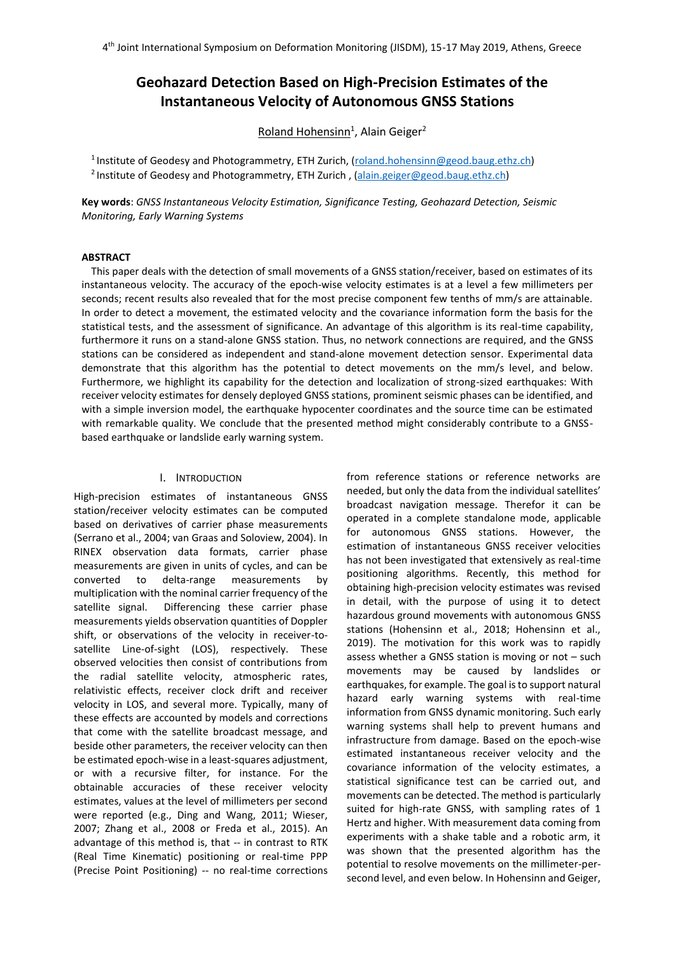# **Geohazard Detection Based on High-Precision Estimates of the Instantaneous Velocity of Autonomous GNSS Stations**

Roland Hohensinn<sup>1</sup>, Alain Geiger<sup>2</sup>

<sup>1</sup> Institute of Geodesy and Photogrammetry, ETH Zurich, [\(ro](mailto:author1@email.com)land.hohensinn@geod.baug.ethz.ch) <sup>2</sup> Institute of Geodesy and Photogrammetry, ETH Zurich, [\(al](mailto:author2@email.com)ain.geiger@geod.baug.ethz.ch)

**Key words**: *GNSS Instantaneous Velocity Estimation, Significance Testing, Geohazard Detection, Seismic Monitoring, Early Warning Systems*

# **ABSTRACT**

This paper deals with the detection of small movements of a GNSS station/receiver, based on estimates of its instantaneous velocity. The accuracy of the epoch-wise velocity estimates is at a level a few millimeters per seconds; recent results also revealed that for the most precise component few tenths of mm/s are attainable. In order to detect a movement, the estimated velocity and the covariance information form the basis for the statistical tests, and the assessment of significance. An advantage of this algorithm is its real-time capability, furthermore it runs on a stand-alone GNSS station. Thus, no network connections are required, and the GNSS stations can be considered as independent and stand-alone movement detection sensor. Experimental data demonstrate that this algorithm has the potential to detect movements on the mm/s level, and below. Furthermore, we highlight its capability for the detection and localization of strong-sized earthquakes: With receiver velocity estimates for densely deployed GNSS stations, prominent seismic phases can be identified, and with a simple inversion model, the earthquake hypocenter coordinates and the source time can be estimated with remarkable quality. We conclude that the presented method might considerably contribute to a GNSSbased earthquake or landslide early warning system.

# I. INTRODUCTION

High-precision estimates of instantaneous GNSS station/receiver velocity estimates can be computed based on derivatives of carrier phase measurements (Serrano et al., 2004; van Graas and Soloview, 2004). In RINEX observation data formats, carrier phase measurements are given in units of cycles, and can be converted to delta-range measurements by multiplication with the nominal carrier frequency of the satellite signal. Differencing these carrier phase measurements yields observation quantities of Doppler shift, or observations of the velocity in receiver-tosatellite Line-of-sight (LOS), respectively. These observed velocities then consist of contributions from the radial satellite velocity, atmospheric rates, relativistic effects, receiver clock drift and receiver velocity in LOS, and several more. Typically, many of these effects are accounted by models and corrections that come with the satellite broadcast message, and beside other parameters, the receiver velocity can then be estimated epoch-wise in a least-squares adjustment, or with a recursive filter, for instance. For the obtainable accuracies of these receiver velocity estimates, values at the level of millimeters per second were reported (e.g., Ding and Wang, 2011; Wieser, 2007; Zhang et al., 2008 or Freda et al., 2015). An advantage of this method is, that -- in contrast to RTK (Real Time Kinematic) positioning or real-time PPP (Precise Point Positioning) -- no real-time corrections from reference stations or reference networks are needed, but only the data from the individual satellites' broadcast navigation message. Therefor it can be operated in a complete standalone mode, applicable for autonomous GNSS stations. However, the estimation of instantaneous GNSS receiver velocities has not been investigated that extensively as real-time positioning algorithms. Recently, this method for obtaining high-precision velocity estimates was revised in detail, with the purpose of using it to detect hazardous ground movements with autonomous GNSS stations (Hohensinn et al., 2018; Hohensinn et al., 2019). The motivation for this work was to rapidly assess whether a GNSS station is moving or not – such movements may be caused by landslides or earthquakes, for example. The goal is to support natural hazard early warning systems with real-time information from GNSS dynamic monitoring. Such early warning systems shall help to prevent humans and infrastructure from damage. Based on the epoch-wise estimated instantaneous receiver velocity and the covariance information of the velocity estimates, a statistical significance test can be carried out, and movements can be detected. The method is particularly suited for high-rate GNSS, with sampling rates of 1 Hertz and higher. With measurement data coming from experiments with a shake table and a robotic arm, it was shown that the presented algorithm has the potential to resolve movements on the millimeter-persecond level, and even below. In Hohensinn and Geiger,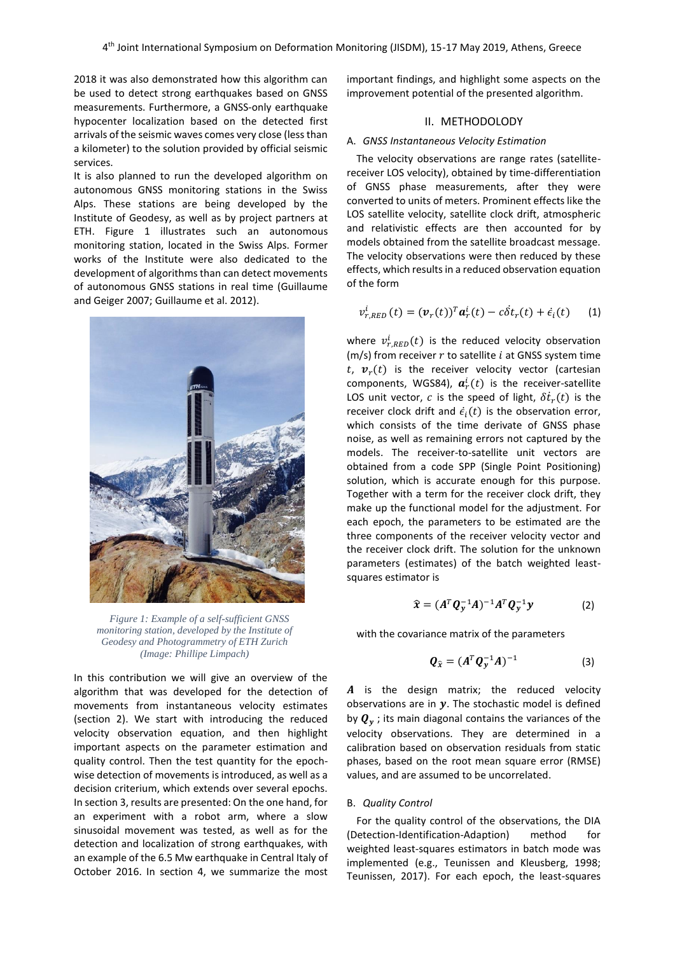2018 it was also demonstrated how this algorithm can be used to detect strong earthquakes based on GNSS measurements. Furthermore, a GNSS-only earthquake hypocenter localization based on the detected first arrivals of the seismic waves comes very close (less than a kilometer) to the solution provided by official seismic services.

It is also planned to run the developed algorithm on autonomous GNSS monitoring stations in the Swiss Alps. These stations are being developed by the Institute of Geodesy, as well as by project partners at ETH. Figure 1 illustrates such an autonomous monitoring station, located in the Swiss Alps. Former works of the Institute were also dedicated to the development of algorithms than can detect movements of autonomous GNSS stations in real time (Guillaume and Geiger 2007; Guillaume et al. 2012).



*Figure 1: Example of a self-sufficient GNSS monitoring station, developed by the Institute of Geodesy and Photogrammetry of ETH Zurich (Image: Phillipe Limpach)*

In this contribution we will give an overview of the algorithm that was developed for the detection of movements from instantaneous velocity estimates (section 2). We start with introducing the reduced velocity observation equation, and then highlight important aspects on the parameter estimation and quality control. Then the test quantity for the epochwise detection of movements is introduced, as well as a decision criterium, which extends over several epochs. In section 3, results are presented: On the one hand, for an experiment with a robot arm, where a slow sinusoidal movement was tested, as well as for the detection and localization of strong earthquakes, with an example of the 6.5 Mw earthquake in Central Italy of October 2016. In section 4, we summarize the most important findings, and highlight some aspects on the improvement potential of the presented algorithm.

# II. METHODOLODY

# A. *GNSS Instantaneous Velocity Estimation*

The velocity observations are range rates (satellitereceiver LOS velocity), obtained by time-differentiation of GNSS phase measurements, after they were converted to units of meters. Prominent effects like the LOS satellite velocity, satellite clock drift, atmospheric and relativistic effects are then accounted for by models obtained from the satellite broadcast message. The velocity observations were then reduced by these effects, which results in a reduced observation equation of the form

$$
v_{r,RED}^i(t) = (\boldsymbol{v}_r(t))^T \boldsymbol{a}_r^i(t) - c \delta t_r(t) + \dot{\epsilon}_i(t) \qquad (1)
$$

where  $v_{r,RED}^i(t)$  is the reduced velocity observation  $(m/s)$  from receiver  $r$  to satellite  $i$  at GNSS system time t,  $v_r(t)$  is the receiver velocity vector (cartesian components, WGS84),  $a_r^i(t)$  is the receiver-satellite LOS unit vector, c is the speed of light,  $\delta \dot{t}_r(t)$  is the receiver clock drift and  $\dot{\epsilon}_i(t)$  is the observation error, which consists of the time derivate of GNSS phase noise, as well as remaining errors not captured by the models. The receiver-to-satellite unit vectors are obtained from a code SPP (Single Point Positioning) solution, which is accurate enough for this purpose. Together with a term for the receiver clock drift, they make up the functional model for the adjustment. For each epoch, the parameters to be estimated are the three components of the receiver velocity vector and the receiver clock drift. The solution for the unknown parameters (estimates) of the batch weighted leastsquares estimator is

$$
\widehat{\boldsymbol{x}} = (\boldsymbol{A}^T \boldsymbol{Q}_{\boldsymbol{y}}^{-1} \boldsymbol{A})^{-1} \boldsymbol{A}^T \boldsymbol{Q}_{\boldsymbol{y}}^{-1} \boldsymbol{y}
$$
 (2)

with the covariance matrix of the parameters

$$
\boldsymbol{Q}_{\hat{\boldsymbol{x}}} = (\boldsymbol{A}^T \boldsymbol{Q}_{\boldsymbol{y}}^{-1} \boldsymbol{A})^{-1} \tag{3}
$$

 $\boldsymbol{A}$  is the design matrix; the reduced velocity observations are in  $y$ . The stochastic model is defined by  $\boldsymbol{Q}_v$ ; its main diagonal contains the variances of the velocity observations. They are determined in a calibration based on observation residuals from static phases, based on the root mean square error (RMSE) values, and are assumed to be uncorrelated.

## B. *Quality Control*

For the quality control of the observations, the DIA (Detection-Identification-Adaption) method for weighted least-squares estimators in batch mode was implemented (e.g., Teunissen and Kleusberg, 1998; Teunissen, 2017). For each epoch, the least-squares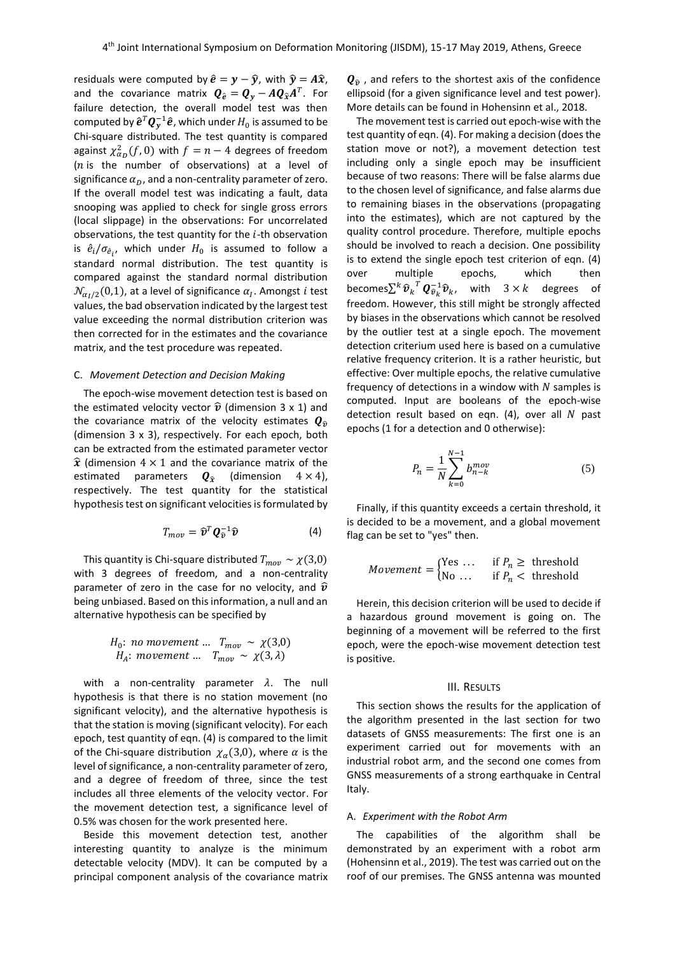residuals were computed by  $\hat{e} = y - \hat{y}$ , with  $\hat{y} = A\hat{x}$ , and the covariance matrix  $\boldsymbol{Q}_{\hat{\boldsymbol{e}}} = \boldsymbol{Q}_\mathcal{y} - A \boldsymbol{Q}_{\widehat{\boldsymbol{x}}} A^T$ . For failure detection, the overall model test was then computed by  $\bm{\hat{e}}^T\bm{Q}_\mathbf{y}^{-1}\bm{\hat{e}}$ , which under  $H_0$  is assumed to be Chi-square distributed. The test quantity is compared against  $\chi_{\alpha_D}^2(f,0)$  with  $f = n - 4$  degrees of freedom ( $n$  is the number of observations) at a level of significance  $\alpha_D$ , and a non-centrality parameter of zero. If the overall model test was indicating a fault, data snooping was applied to check for single gross errors (local slippage) in the observations: For uncorrelated observations, the test quantity for the  $i$ -th observation is  $\hat{e}_i/\sigma_{\hat{e}_i}$ , which under  $H_0$  is assumed to follow a standard normal distribution. The test quantity is compared against the standard normal distribution  $\mathcal{N}_{\alpha_{I}/2}(0,1)$ , at a level of significance  $\alpha_{I}.$  Amongst  $i$  test values, the bad observation indicated by the largest test value exceeding the normal distribution criterion was then corrected for in the estimates and the covariance matrix, and the test procedure was repeated.

#### C. *Movement Detection and Decision Making*

The epoch-wise movement detection test is based on the estimated velocity vector  $\hat{v}$  (dimension 3 x 1) and the covariance matrix of the velocity estimates  $\mathbf{Q}_{\hat{v}}$ (dimension 3 x 3), respectively. For each epoch, both can be extracted from the estimated parameter vector  $\hat{x}$  (dimension  $4 \times 1$  and the covariance matrix of the estimated parameters  $\mathbf{Q}_{\hat{\chi}}$  (dimension  $4 \times 4$ ), respectively. The test quantity for the statistical hypothesis test on significant velocities is formulated by

$$
T_{mov} = \widehat{\boldsymbol{\nu}}^T \boldsymbol{Q}_{\widehat{\boldsymbol{\nu}}}^{-1} \widehat{\boldsymbol{\nu}} \tag{4}
$$

This quantity is Chi-square distributed  $T_{mov} \sim \chi(3,0)$ with 3 degrees of freedom, and a non-centrality parameter of zero in the case for no velocity, and  $\hat{v}$ being unbiased. Based on this information, a null and an alternative hypothesis can be specified by

$$
H_0: no movement ... T_{mov} \sim \chi(3,0)
$$
  

$$
H_A: movement ... T_{mov} \sim \chi(3, \lambda)
$$

with a non-centrality parameter  $\lambda$ . The null hypothesis is that there is no station movement (no significant velocity), and the alternative hypothesis is that the station is moving (significant velocity). For each epoch, test quantity of eqn. (4) is compared to the limit of the Chi-square distribution  $\chi_{\alpha}(3,0)$ , where  $\alpha$  is the level of significance, a non-centrality parameter of zero, and a degree of freedom of three, since the test includes all three elements of the velocity vector. For the movement detection test, a significance level of 0.5% was chosen for the work presented here.

Beside this movement detection test, another interesting quantity to analyze is the minimum detectable velocity (MDV). It can be computed by a principal component analysis of the covariance matrix  $\mathbf{Q}_{\hat{v}}$  , and refers to the shortest axis of the confidence ellipsoid (for a given significance level and test power). More details can be found in Hohensinn et al., 2018.

The movement test is carried out epoch-wise with the test quantity of eqn. (4). For making a decision (does the station move or not?), a movement detection test including only a single epoch may be insufficient because of two reasons: There will be false alarms due to the chosen level of significance, and false alarms due to remaining biases in the observations (propagating into the estimates), which are not captured by the quality control procedure. Therefore, multiple epochs should be involved to reach a decision. One possibility is to extend the single epoch test criterion of eqn. (4) over multiple epochs, which then becomes $\sum^k \widehat{\boldsymbol{v}}_k^{-T} \, \boldsymbol{Q}_{\widehat{\boldsymbol{v}}_k}^{-1}$ with  $3 \times k$  degrees of freedom. However, this still might be strongly affected by biases in the observations which cannot be resolved by the outlier test at a single epoch. The movement detection criterium used here is based on a cumulative relative frequency criterion. It is a rather heuristic, but effective: Over multiple epochs, the relative cumulative frequency of detections in a window with  $N$  samples is computed. Input are booleans of the epoch-wise detection result based on eqn. (4), over all  $N$  past epochs (1 for a detection and 0 otherwise):

$$
P_n = \frac{1}{N} \sum_{k=0}^{N-1} b_{n-k}^{mov}
$$
 (5)

Finally, if this quantity exceeds a certain threshold, it is decided to be a movement, and a global movement flag can be set to "yes" then.

*Movement* = 
$$
\begin{cases} Yes ... & \text{if } P_n \ge \text{threshold} \\ No ... & \text{if } P_n < \text{threshold} \end{cases}
$$

Herein, this decision criterion will be used to decide if a hazardous ground movement is going on. The beginning of a movement will be referred to the first epoch, were the epoch-wise movement detection test is positive.

# III. RESULTS

This section shows the results for the application of the algorithm presented in the last section for two datasets of GNSS measurements: The first one is an experiment carried out for movements with an industrial robot arm, and the second one comes from GNSS measurements of a strong earthquake in Central Italy.

#### A. *Experiment with the Robot Arm*

The capabilities of the algorithm shall be demonstrated by an experiment with a robot arm (Hohensinn et al., 2019). The test was carried out on the roof of our premises. The GNSS antenna was mounted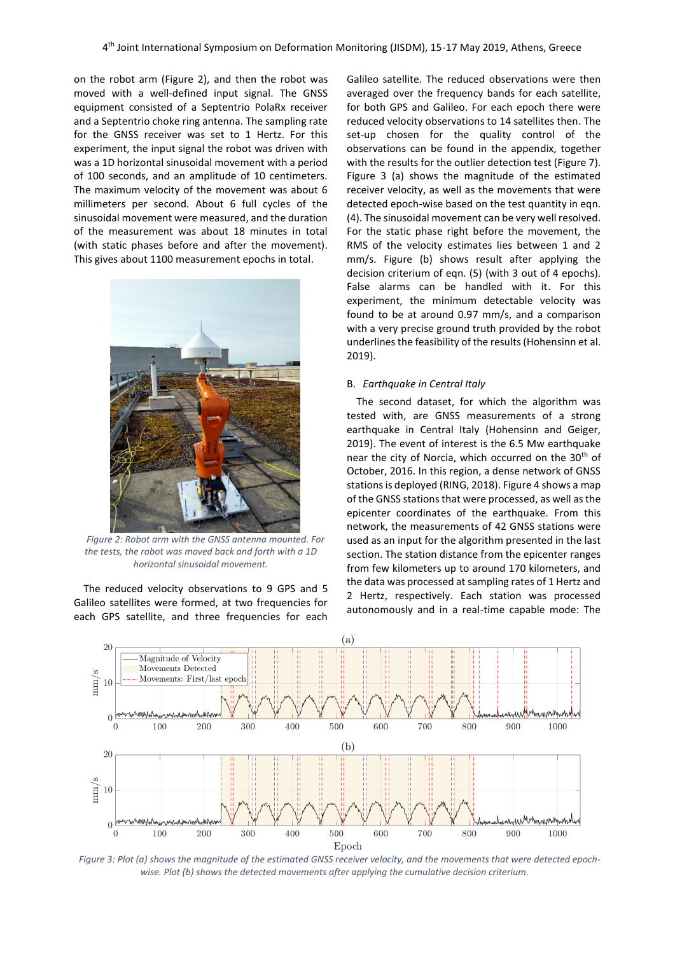on the robot arm (Figure 2), and then the robot was moved with a well-defined input signal. The GNSS equipment consisted of a Septentrio PolaRx receiver and a Septentrio choke ring antenna. The sampling rate for the GNSS receiver was set to 1 Hertz. For this experiment, the input signal the robot was driven with was a 1D horizontal sinusoidal movement with a period of 100 seconds, and an amplitude of 10 centimeters. The maximum velocity of the movement was about 6 millimeters per second. About 6 full cycles of the sinusoidal movement were measured, and the duration of the measurement was about 18 minutes in total (with static phases before and after the movement). This gives about 1100 measurement epochs in total.



*Figure 2: Robot arm with the GNSS antenna mounted. For the tests, the robot was moved back and forth with a 1D horizontal sinusoidal movement.*

The reduced velocity observations to 9 GPS and 5 Galileo satellites were formed, at two frequencies for each GPS satellite, and three frequencies for each Galileo satellite. The reduced observations were then averaged over the frequency bands for each satellite, for both GPS and Galileo. For each epoch there were reduced velocity observations to 14 satellites then. The set-up chosen for the quality control of the observations can be found in the appendix, together with the results for the outlier detection test (Figure 7). Figure 3 (a) shows the magnitude of the estimated receiver velocity, as well as the movements that were detected epoch-wise based on the test quantity in eqn. (4). The sinusoidal movement can be very well resolved. For the static phase right before the movement, the RMS of the velocity estimates lies between 1 and 2 mm/s. Figure (b) shows result after applying the decision criterium of eqn. (5) (with 3 out of 4 epochs). False alarms can be handled with it. For this experiment, the minimum detectable velocity was found to be at around 0.97 mm/s, and a comparison with a very precise ground truth provided by the robot underlines the feasibility of the results (Hohensinn et al. 2019).

# B. *Earthquake in Central Italy*

The second dataset, for which the algorithm was tested with, are GNSS measurements of a strong earthquake in Central Italy (Hohensinn and Geiger, 2019). The event of interest is the 6.5 Mw earthquake near the city of Norcia, which occurred on the  $30<sup>th</sup>$  of October, 2016. In this region, a dense network of GNSS stations is deployed (RING, 2018). Figure 4 shows a map of the GNSS stations that were processed, as well as the epicenter coordinates of the earthquake. From this network, the measurements of 42 GNSS stations were used as an input for the algorithm presented in the last section. The station distance from the epicenter ranges from few kilometers up to around 170 kilometers, and the data was processed at sampling rates of 1 Hertz and 2 Hertz, respectively. Each station was processed autonomously and in a real-time capable mode: The



*Figure 3: Plot (a) shows the magnitude of the estimated GNSS receiver velocity, and the movements that were detected epochwise. Plot (b) shows the detected movements after applying the cumulative decision criterium.*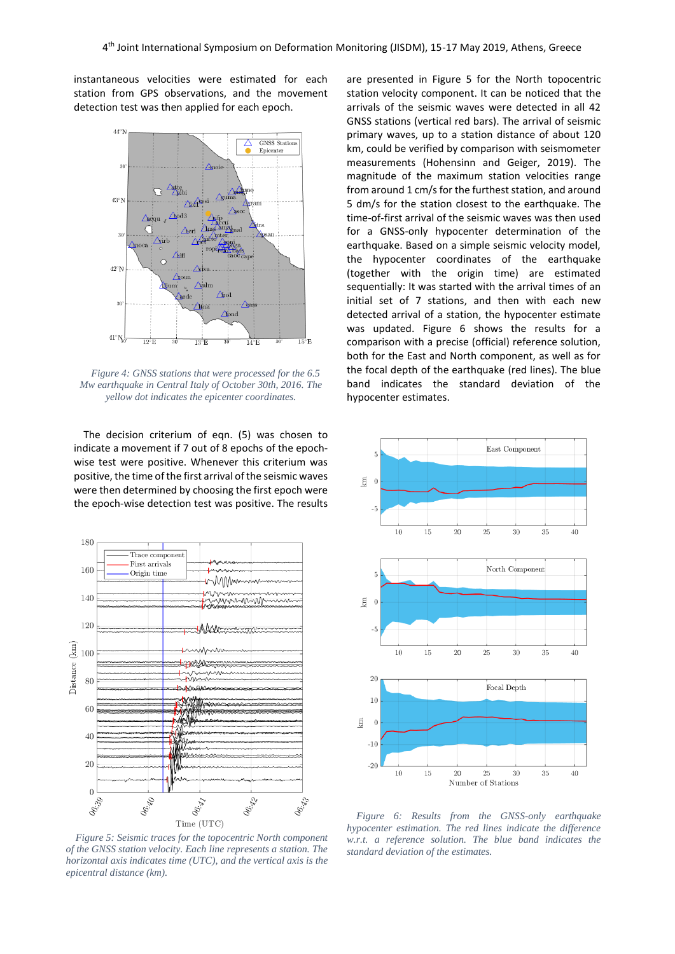instantaneous velocities were estimated for each station from GPS observations, and the movement detection test was then applied for each epoch.



*Figure 4: GNSS stations that were processed for the 6.5 Mw earthquake in Central Italy of October 30th, 2016. The yellow dot indicates the epicenter coordinates.*

The decision criterium of eqn. (5) was chosen to indicate a movement if 7 out of 8 epochs of the epochwise test were positive. Whenever this criterium was positive, the time of the first arrival of the seismic waves were then determined by choosing the first epoch were the epoch-wise detection test was positive. The results



*Figure 5: Seismic traces for the topocentric North component of the GNSS station velocity. Each line represents a station. The horizontal axis indicates time (UTC), and the vertical axis is the epicentral distance (km).*

are presented in Figure 5 for the North topocentric station velocity component. It can be noticed that the arrivals of the seismic waves were detected in all 42 GNSS stations (vertical red bars). The arrival of seismic primary waves, up to a station distance of about 120 km, could be verified by comparison with seismometer measurements (Hohensinn and Geiger, 2019). The magnitude of the maximum station velocities range from around 1 cm/s for the furthest station, and around 5 dm/s for the station closest to the earthquake. The time-of-first arrival of the seismic waves was then used for a GNSS-only hypocenter determination of the earthquake. Based on a simple seismic velocity model, the hypocenter coordinates of the earthquake (together with the origin time) are estimated sequentially: It was started with the arrival times of an initial set of 7 stations, and then with each new detected arrival of a station, the hypocenter estimate was updated. Figure 6 shows the results for a comparison with a precise (official) reference solution, both for the East and North component, as well as for the focal depth of the earthquake (red lines). The blue band indicates the standard deviation of the hypocenter estimates.



*Figure 6: Results from the GNSS-only earthquake hypocenter estimation. The red lines indicate the difference w.r.t. a reference solution. The blue band indicates the standard deviation of the estimates.*